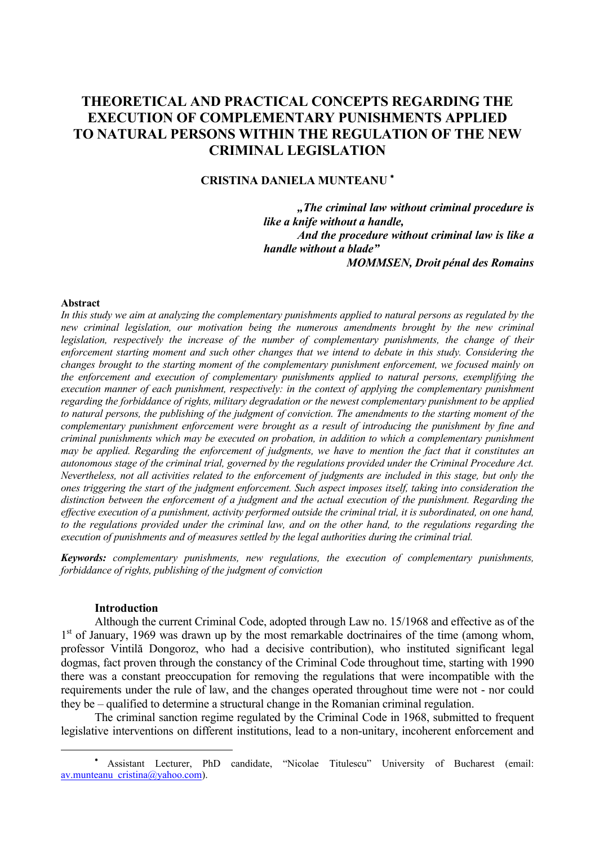# **THEORETICAL AND PRACTICAL CONCEPTS REGARDING THE EXECUTION OF COMPLEMENTARY PUNISHMENTS APPLIED TO NATURAL PERSONS WITHIN THE REGULATION OF THE NEW CRIMINAL LEGISLATION**

### **CRISTINA DANIELA MUNTEANU** <sup>∗</sup>

*"The criminal law without criminal procedure is like a knife without a handle, And the procedure without criminal law is like a handle without a blade" MOMMSEN, Droit pénal des Romains* 

### **Abstract**

*In this study we aim at analyzing the complementary punishments applied to natural persons as regulated by the new criminal legislation, our motivation being the numerous amendments brought by the new criminal legislation, respectively the increase of the number of complementary punishments, the change of their enforcement starting moment and such other changes that we intend to debate in this study. Considering the changes brought to the starting moment of the complementary punishment enforcement, we focused mainly on the enforcement and execution of complementary punishments applied to natural persons, exemplifying the execution manner of each punishment, respectively: in the context of applying the complementary punishment regarding the forbiddance of rights, military degradation or the newest complementary punishment to be applied to natural persons, the publishing of the judgment of conviction. The amendments to the starting moment of the complementary punishment enforcement were brought as a result of introducing the punishment by fine and criminal punishments which may be executed on probation, in addition to which a complementary punishment may be applied. Regarding the enforcement of judgments, we have to mention the fact that it constitutes an autonomous stage of the criminal trial, governed by the regulations provided under the Criminal Procedure Act. Nevertheless, not all activities related to the enforcement of judgments are included in this stage, but only the ones triggering the start of the judgment enforcement. Such aspect imposes itself, taking into consideration the distinction between the enforcement of a judgment and the actual execution of the punishment. Regarding the effective execution of a punishment, activity performed outside the criminal trial, it is subordinated, on one hand, to the regulations provided under the criminal law, and on the other hand, to the regulations regarding the execution of punishments and of measures settled by the legal authorities during the criminal trial.* 

*Keywords: complementary punishments, new regulations, the execution of complementary punishments, forbiddance of rights, publishing of the judgment of conviction* 

### **Introduction**

 $\overline{a}$ 

Although the current Criminal Code, adopted through Law no. 15/1968 and effective as of the  $1<sup>st</sup>$  of January, 1969 was drawn up by the most remarkable doctrinaires of the time (among whom, professor Vintilă Dongoroz, who had a decisive contribution), who instituted significant legal dogmas, fact proven through the constancy of the Criminal Code throughout time, starting with 1990 there was a constant preoccupation for removing the regulations that were incompatible with the requirements under the rule of law, and the changes operated throughout time were not - nor could they be – qualified to determine a structural change in the Romanian criminal regulation.

The criminal sanction regime regulated by the Criminal Code in 1968, submitted to frequent legislative interventions on different institutions, lead to a non-unitary, incoherent enforcement and

<sup>∗</sup> Assistant Lecturer, PhD candidate, "Nicolae Titulescu" University of Bucharest (email: av.munteanu\_cristina@yahoo.com).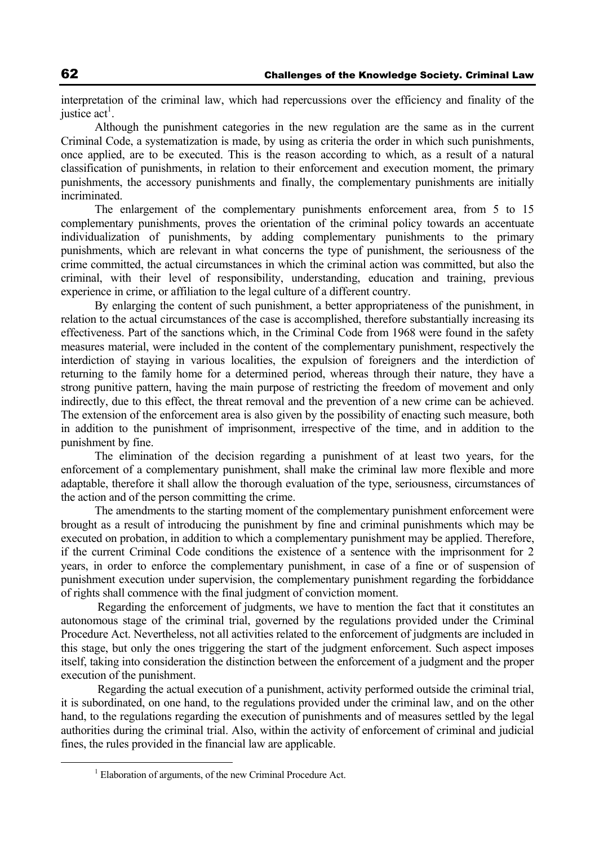interpretation of the criminal law, which had repercussions over the efficiency and finality of the justice  $\text{act}^1$ .

Although the punishment categories in the new regulation are the same as in the current Criminal Code, a systematization is made, by using as criteria the order in which such punishments, once applied, are to be executed. This is the reason according to which, as a result of a natural classification of punishments, in relation to their enforcement and execution moment, the primary punishments, the accessory punishments and finally, the complementary punishments are initially incriminated.

The enlargement of the complementary punishments enforcement area, from 5 to 15 complementary punishments, proves the orientation of the criminal policy towards an accentuate individualization of punishments, by adding complementary punishments to the primary punishments, which are relevant in what concerns the type of punishment, the seriousness of the crime committed, the actual circumstances in which the criminal action was committed, but also the criminal, with their level of responsibility, understanding, education and training, previous experience in crime, or affiliation to the legal culture of a different country.

By enlarging the content of such punishment, a better appropriateness of the punishment, in relation to the actual circumstances of the case is accomplished, therefore substantially increasing its effectiveness. Part of the sanctions which, in the Criminal Code from 1968 were found in the safety measures material, were included in the content of the complementary punishment, respectively the interdiction of staying in various localities, the expulsion of foreigners and the interdiction of returning to the family home for a determined period, whereas through their nature, they have a strong punitive pattern, having the main purpose of restricting the freedom of movement and only indirectly, due to this effect, the threat removal and the prevention of a new crime can be achieved. The extension of the enforcement area is also given by the possibility of enacting such measure, both in addition to the punishment of imprisonment, irrespective of the time, and in addition to the punishment by fine.

The elimination of the decision regarding a punishment of at least two years, for the enforcement of a complementary punishment, shall make the criminal law more flexible and more adaptable, therefore it shall allow the thorough evaluation of the type, seriousness, circumstances of the action and of the person committing the crime.

The amendments to the starting moment of the complementary punishment enforcement were brought as a result of introducing the punishment by fine and criminal punishments which may be executed on probation, in addition to which a complementary punishment may be applied. Therefore, if the current Criminal Code conditions the existence of a sentence with the imprisonment for 2 years, in order to enforce the complementary punishment, in case of a fine or of suspension of punishment execution under supervision, the complementary punishment regarding the forbiddance of rights shall commence with the final judgment of conviction moment.

 Regarding the enforcement of judgments, we have to mention the fact that it constitutes an autonomous stage of the criminal trial, governed by the regulations provided under the Criminal Procedure Act. Nevertheless, not all activities related to the enforcement of judgments are included in this stage, but only the ones triggering the start of the judgment enforcement. Such aspect imposes itself, taking into consideration the distinction between the enforcement of a judgment and the proper execution of the punishment.

 Regarding the actual execution of a punishment, activity performed outside the criminal trial, it is subordinated, on one hand, to the regulations provided under the criminal law, and on the other hand, to the regulations regarding the execution of punishments and of measures settled by the legal authorities during the criminal trial. Also, within the activity of enforcement of criminal and judicial fines, the rules provided in the financial law are applicable.

 $\frac{1}{1}$  $<sup>1</sup>$  Elaboration of arguments, of the new Criminal Procedure Act.</sup>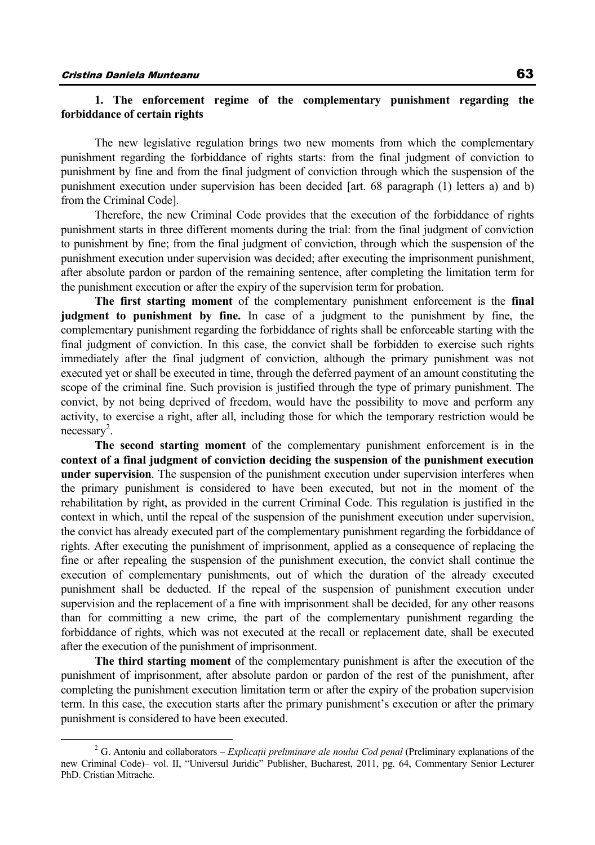# **1. The enforcement regime of the complementary punishment regarding the forbiddance of certain rights**

The new legislative regulation brings two new moments from which the complementary punishment regarding the forbiddance of rights starts: from the final judgment of conviction to punishment by fine and from the final judgment of conviction through which the suspension of the punishment execution under supervision has been decided [art. 68 paragraph (1) letters a) and b) from the Criminal Code].

Therefore, the new Criminal Code provides that the execution of the forbiddance of rights punishment starts in three different moments during the trial: from the final judgment of conviction to punishment by fine; from the final judgment of conviction, through which the suspension of the punishment execution under supervision was decided; after executing the imprisonment punishment, after absolute pardon or pardon of the remaining sentence, after completing the limitation term for the punishment execution or after the expiry of the supervision term for probation.

**The first starting moment** of the complementary punishment enforcement is the **final judgment to punishment by fine.** In case of a judgment to the punishment by fine, the complementary punishment regarding the forbiddance of rights shall be enforceable starting with the final judgment of conviction. In this case, the convict shall be forbidden to exercise such rights immediately after the final judgment of conviction, although the primary punishment was not executed yet or shall be executed in time, through the deferred payment of an amount constituting the scope of the criminal fine. Such provision is justified through the type of primary punishment. The convict, by not being deprived of freedom, would have the possibility to move and perform any activity, to exercise a right, after all, including those for which the temporary restriction would be necessary<sup>2</sup>.

**The second starting moment** of the complementary punishment enforcement is in the **context of a final judgment of conviction deciding the suspension of the punishment execution under supervision**. The suspension of the punishment execution under supervision interferes when the primary punishment is considered to have been executed, but not in the moment of the rehabilitation by right, as provided in the current Criminal Code. This regulation is justified in the context in which, until the repeal of the suspension of the punishment execution under supervision, the convict has already executed part of the complementary punishment regarding the forbiddance of rights. After executing the punishment of imprisonment, applied as a consequence of replacing the fine or after repealing the suspension of the punishment execution, the convict shall continue the execution of complementary punishments, out of which the duration of the already executed punishment shall be deducted. If the repeal of the suspension of punishment execution under supervision and the replacement of a fine with imprisonment shall be decided, for any other reasons than for committing a new crime, the part of the complementary punishment regarding the forbiddance of rights, which was not executed at the recall or replacement date, shall be executed after the execution of the punishment of imprisonment.

**The third starting moment** of the complementary punishment is after the execution of the punishment of imprisonment, after absolute pardon or pardon of the rest of the punishment, after completing the punishment execution limitation term or after the expiry of the probation supervision term. In this case, the execution starts after the primary punishment's execution or after the primary punishment is considered to have been executed.

 $\overline{\phantom{a}}$  G. Antoniu and collaborators – *Explicaţii preliminare ale noului Cod penal* (Preliminary explanations of the new Criminal Code)– vol. II, "Universul Juridic" Publisher, Bucharest, 2011, pg. 64, Commentary Senior Lecturer PhD. Cristian Mitrache.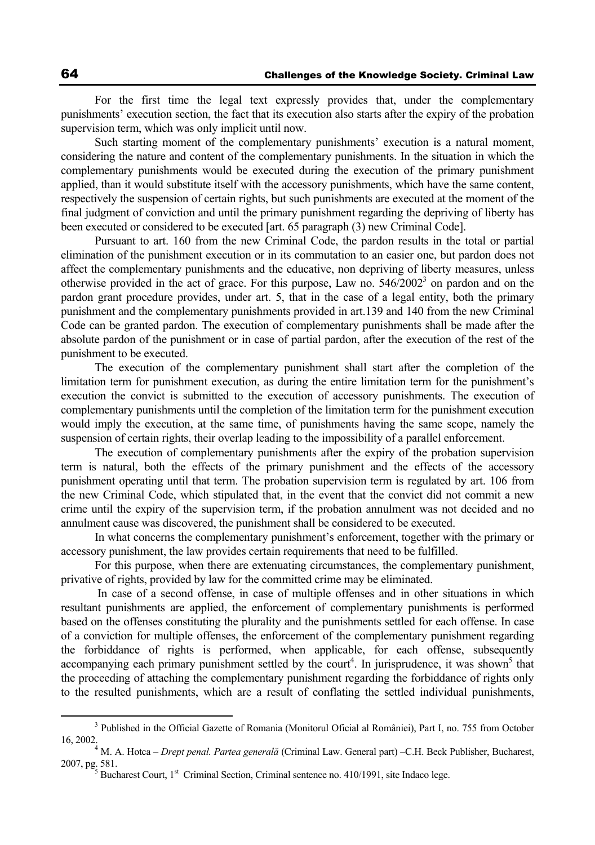For the first time the legal text expressly provides that, under the complementary punishments' execution section, the fact that its execution also starts after the expiry of the probation supervision term, which was only implicit until now.

Such starting moment of the complementary punishments' execution is a natural moment, considering the nature and content of the complementary punishments. In the situation in which the complementary punishments would be executed during the execution of the primary punishment applied, than it would substitute itself with the accessory punishments, which have the same content, respectively the suspension of certain rights, but such punishments are executed at the moment of the final judgment of conviction and until the primary punishment regarding the depriving of liberty has been executed or considered to be executed [art. 65 paragraph (3) new Criminal Code].

Pursuant to art. 160 from the new Criminal Code, the pardon results in the total or partial elimination of the punishment execution or in its commutation to an easier one, but pardon does not affect the complementary punishments and the educative, non depriving of liberty measures, unless otherwise provided in the act of grace. For this purpose, Law no.  $546/2002^3$  on pardon and on the pardon grant procedure provides, under art. 5, that in the case of a legal entity, both the primary punishment and the complementary punishments provided in art.139 and 140 from the new Criminal Code can be granted pardon. The execution of complementary punishments shall be made after the absolute pardon of the punishment or in case of partial pardon, after the execution of the rest of the punishment to be executed.

The execution of the complementary punishment shall start after the completion of the limitation term for punishment execution, as during the entire limitation term for the punishment's execution the convict is submitted to the execution of accessory punishments. The execution of complementary punishments until the completion of the limitation term for the punishment execution would imply the execution, at the same time, of punishments having the same scope, namely the suspension of certain rights, their overlap leading to the impossibility of a parallel enforcement.

The execution of complementary punishments after the expiry of the probation supervision term is natural, both the effects of the primary punishment and the effects of the accessory punishment operating until that term. The probation supervision term is regulated by art. 106 from the new Criminal Code, which stipulated that, in the event that the convict did not commit a new crime until the expiry of the supervision term, if the probation annulment was not decided and no annulment cause was discovered, the punishment shall be considered to be executed.

In what concerns the complementary punishment's enforcement, together with the primary or accessory punishment, the law provides certain requirements that need to be fulfilled.

For this purpose, when there are extenuating circumstances, the complementary punishment, privative of rights, provided by law for the committed crime may be eliminated.

 In case of a second offense, in case of multiple offenses and in other situations in which resultant punishments are applied, the enforcement of complementary punishments is performed based on the offenses constituting the plurality and the punishments settled for each offense. In case of a conviction for multiple offenses, the enforcement of the complementary punishment regarding the forbiddance of rights is performed, when applicable, for each offense, subsequently accompanying each primary punishment settled by the court<sup>4</sup>. In jurisprudence, it was shown<sup>5</sup> that the proceeding of attaching the complementary punishment regarding the forbiddance of rights only to the resulted punishments, which are a result of conflating the settled individual punishments,

 $\frac{1}{3}$ <sup>3</sup> Published in the Official Gazette of Romania (Monitorul Oficial al României), Part I, no. 755 from October 16, 2002. 4

M. A. Hotca – *Drept penal. Partea generală* (Criminal Law. General part) –C.H. Beck Publisher, Bucharest, 2007, pg. 581.<br><sup>5</sup> Bucharest Court, 1<sup>st</sup> Criminal Section, Criminal sentence no. 410/1991, site Indaco lege.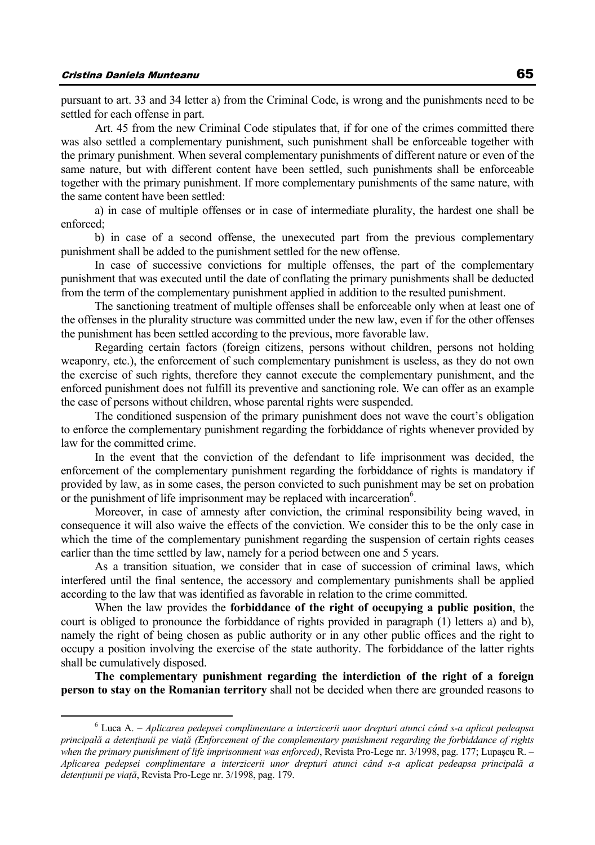pursuant to art. 33 and 34 letter a) from the Criminal Code, is wrong and the punishments need to be settled for each offense in part.

Art. 45 from the new Criminal Code stipulates that, if for one of the crimes committed there was also settled a complementary punishment, such punishment shall be enforceable together with the primary punishment. When several complementary punishments of different nature or even of the same nature, but with different content have been settled, such punishments shall be enforceable together with the primary punishment. If more complementary punishments of the same nature, with the same content have been settled:

a) in case of multiple offenses or in case of intermediate plurality, the hardest one shall be enforced;

b) in case of a second offense, the unexecuted part from the previous complementary punishment shall be added to the punishment settled for the new offense.

In case of successive convictions for multiple offenses, the part of the complementary punishment that was executed until the date of conflating the primary punishments shall be deducted from the term of the complementary punishment applied in addition to the resulted punishment.

The sanctioning treatment of multiple offenses shall be enforceable only when at least one of the offenses in the plurality structure was committed under the new law, even if for the other offenses the punishment has been settled according to the previous, more favorable law.

Regarding certain factors (foreign citizens, persons without children, persons not holding weaponry, etc.), the enforcement of such complementary punishment is useless, as they do not own the exercise of such rights, therefore they cannot execute the complementary punishment, and the enforced punishment does not fulfill its preventive and sanctioning role. We can offer as an example the case of persons without children, whose parental rights were suspended.

The conditioned suspension of the primary punishment does not wave the court's obligation to enforce the complementary punishment regarding the forbiddance of rights whenever provided by law for the committed crime.

In the event that the conviction of the defendant to life imprisonment was decided, the enforcement of the complementary punishment regarding the forbiddance of rights is mandatory if provided by law, as in some cases, the person convicted to such punishment may be set on probation or the punishment of life imprisonment may be replaced with incarceration $6$ .

Moreover, in case of amnesty after conviction, the criminal responsibility being waved, in consequence it will also waive the effects of the conviction. We consider this to be the only case in which the time of the complementary punishment regarding the suspension of certain rights ceases earlier than the time settled by law, namely for a period between one and 5 years.

As a transition situation, we consider that in case of succession of criminal laws, which interfered until the final sentence, the accessory and complementary punishments shall be applied according to the law that was identified as favorable in relation to the crime committed.

When the law provides the **forbiddance of the right of occupying a public position**, the court is obliged to pronounce the forbiddance of rights provided in paragraph (1) letters a) and b), namely the right of being chosen as public authority or in any other public offices and the right to occupy a position involving the exercise of the state authority. The forbiddance of the latter rights shall be cumulatively disposed.

**The complementary punishment regarding the interdiction of the right of a foreign person to stay on the Romanian territory** shall not be decided when there are grounded reasons to

 <sup>6</sup> Luca A. – *Aplicarea pedepsei complimentare a interzicerii unor drepturi atunci când s-a aplicat pedeapsa principală a detenţiunii pe viaţă (Enforcement of the complementary punishment regarding the forbiddance of rights when the primary punishment of life imprisonment was enforced)*, Revista Pro-Lege nr. 3/1998, pag. 177; Lupaşcu R. – *Aplicarea pedepsei complimentare a interzicerii unor drepturi atunci când s-a aplicat pedeapsa principală a detenţiunii pe viaţă*, Revista Pro-Lege nr. 3/1998, pag. 179.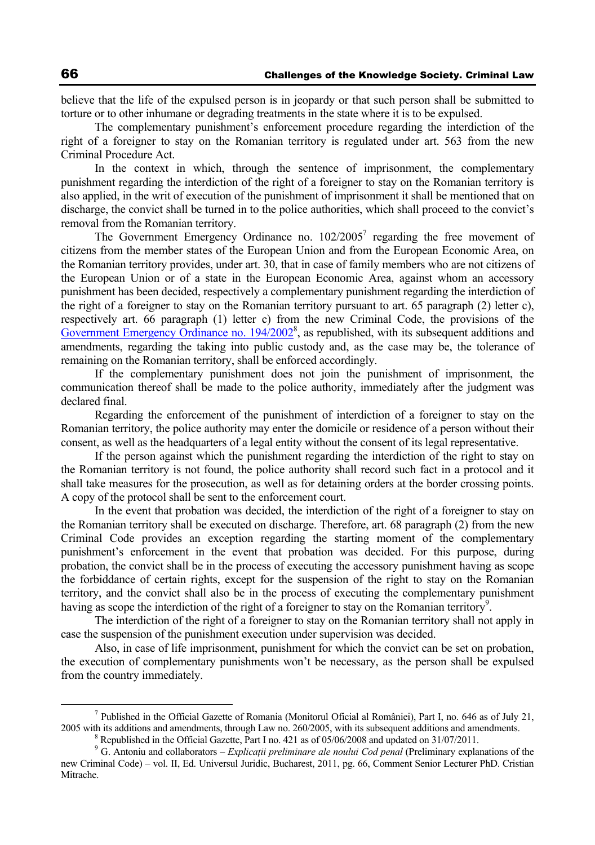believe that the life of the expulsed person is in jeopardy or that such person shall be submitted to torture or to other inhumane or degrading treatments in the state where it is to be expulsed.

The complementary punishment's enforcement procedure regarding the interdiction of the right of a foreigner to stay on the Romanian territory is regulated under art. 563 from the new Criminal Procedure Act.

In the context in which, through the sentence of imprisonment, the complementary punishment regarding the interdiction of the right of a foreigner to stay on the Romanian territory is also applied, in the writ of execution of the punishment of imprisonment it shall be mentioned that on discharge, the convict shall be turned in to the police authorities, which shall proceed to the convict's removal from the Romanian territory.

The Government Emergency Ordinance no.  $102/2005^7$  regarding the free movement of citizens from the member states of the European Union and from the European Economic Area, on the Romanian territory provides, under art. 30, that in case of family members who are not citizens of the European Union or of a state in the European Economic Area, against whom an accessory punishment has been decided, respectively a complementary punishment regarding the interdiction of the right of a foreigner to stay on the Romanian territory pursuant to art. 65 paragraph (2) letter c), respectively art. 66 paragraph (1) letter c) from the new Criminal Code, the provisions of the Government Emergency Ordinance no. 194/2002<sup>8</sup>, as republished, with its subsequent additions and amendments, regarding the taking into public custody and, as the case may be, the tolerance of remaining on the Romanian territory, shall be enforced accordingly.

If the complementary punishment does not join the punishment of imprisonment, the communication thereof shall be made to the police authority, immediately after the judgment was declared final.

Regarding the enforcement of the punishment of interdiction of a foreigner to stay on the Romanian territory, the police authority may enter the domicile or residence of a person without their consent, as well as the headquarters of a legal entity without the consent of its legal representative.

If the person against which the punishment regarding the interdiction of the right to stay on the Romanian territory is not found, the police authority shall record such fact in a protocol and it shall take measures for the prosecution, as well as for detaining orders at the border crossing points. A copy of the protocol shall be sent to the enforcement court.

In the event that probation was decided, the interdiction of the right of a foreigner to stay on the Romanian territory shall be executed on discharge. Therefore, art. 68 paragraph (2) from the new Criminal Code provides an exception regarding the starting moment of the complementary punishment's enforcement in the event that probation was decided. For this purpose, during probation, the convict shall be in the process of executing the accessory punishment having as scope the forbiddance of certain rights, except for the suspension of the right to stay on the Romanian territory, and the convict shall also be in the process of executing the complementary punishment having as scope the interdiction of the right of a foreigner to stay on the Romanian territory<sup>9</sup>.

The interdiction of the right of a foreigner to stay on the Romanian territory shall not apply in case the suspension of the punishment execution under supervision was decided.

Also, in case of life imprisonment, punishment for which the convict can be set on probation, the execution of complementary punishments won't be necessary, as the person shall be expulsed from the country immediately.

 <sup>7</sup> Published in the Official Gazette of Romania (Monitorul Oficial al României), Part I, no. 646 as of July 21, 2005 with its additions and amendments, through Law no. 260/2005, with its subsequent additions and amendments. 8

<sup>&</sup>lt;sup>8</sup> Republished in the Official Gazette, Part I no. 421 as of  $05/06/2008$  and updated on 31/07/2011.

<sup>&</sup>lt;sup>9</sup> G. Antoniu and collaborators – *Explicatii preliminare ale noului Cod penal* (Preliminary explanations of the new Criminal Code) – vol. II, Ed. Universul Juridic, Bucharest, 2011, pg. 66, Comment Senior Lecturer PhD. Cristian Mitrache.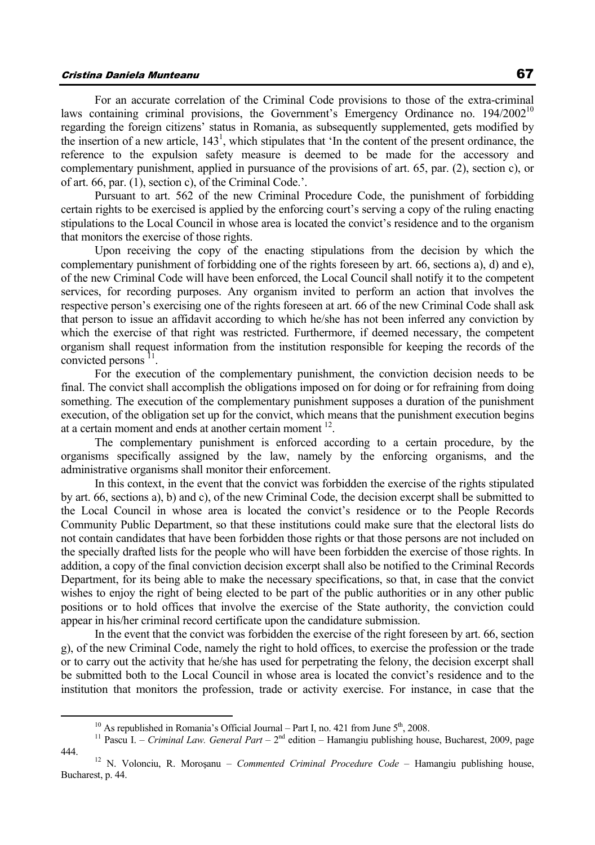# Cristina Daniela Munteanu 67

For an accurate correlation of the Criminal Code provisions to those of the extra-criminal laws containing criminal provisions, the Government's Emergency Ordinance no. 194/2002<sup>10</sup> regarding the foreign citizens' status in Romania, as subsequently supplemented, gets modified by the insertion of a new article,  $143<sup>1</sup>$ , which stipulates that 'In the content of the present ordinance, the reference to the expulsion safety measure is deemed to be made for the accessory and complementary punishment, applied in pursuance of the provisions of art. 65, par. (2), section c), or of art. 66, par. (1), section c), of the Criminal Code.'.

Pursuant to art. 562 of the new Criminal Procedure Code, the punishment of forbidding certain rights to be exercised is applied by the enforcing court's serving a copy of the ruling enacting stipulations to the Local Council in whose area is located the convict's residence and to the organism that monitors the exercise of those rights.

Upon receiving the copy of the enacting stipulations from the decision by which the complementary punishment of forbidding one of the rights foreseen by art. 66, sections a), d) and e), of the new Criminal Code will have been enforced, the Local Council shall notify it to the competent services, for recording purposes. Any organism invited to perform an action that involves the respective person's exercising one of the rights foreseen at art. 66 of the new Criminal Code shall ask that person to issue an affidavit according to which he/she has not been inferred any conviction by which the exercise of that right was restricted. Furthermore, if deemed necessary, the competent organism shall request information from the institution responsible for keeping the records of the convicted persons <sup>11</sup>.

For the execution of the complementary punishment, the conviction decision needs to be final. The convict shall accomplish the obligations imposed on for doing or for refraining from doing something. The execution of the complementary punishment supposes a duration of the punishment execution, of the obligation set up for the convict, which means that the punishment execution begins at a certain moment and ends at another certain moment 12.

The complementary punishment is enforced according to a certain procedure, by the organisms specifically assigned by the law, namely by the enforcing organisms, and the administrative organisms shall monitor their enforcement.

In this context, in the event that the convict was forbidden the exercise of the rights stipulated by art. 66, sections a), b) and c), of the new Criminal Code, the decision excerpt shall be submitted to the Local Council in whose area is located the convict's residence or to the People Records Community Public Department, so that these institutions could make sure that the electoral lists do not contain candidates that have been forbidden those rights or that those persons are not included on the specially drafted lists for the people who will have been forbidden the exercise of those rights. In addition, a copy of the final conviction decision excerpt shall also be notified to the Criminal Records Department, for its being able to make the necessary specifications, so that, in case that the convict wishes to enjoy the right of being elected to be part of the public authorities or in any other public positions or to hold offices that involve the exercise of the State authority, the conviction could appear in his/her criminal record certificate upon the candidature submission.

In the event that the convict was forbidden the exercise of the right foreseen by art. 66, section g), of the new Criminal Code, namely the right to hold offices, to exercise the profession or the trade or to carry out the activity that he/she has used for perpetrating the felony, the decision excerpt shall be submitted both to the Local Council in whose area is located the convict's residence and to the institution that monitors the profession, trade or activity exercise. For instance, in case that the

<sup>&</sup>lt;sup>10</sup> As republished in Romania's Official Journal – Part I, no. 421 from June 5<sup>th</sup>, 2008.<br><sup>11</sup> Pascu I. – *Criminal Law. General Part* – 2<sup>nd</sup> edition – Hamangiu publishing house, Bucharest, 2009, page 444. 12 N. Volonciu, R. Moroşanu – *Commented Criminal Procedure Code* – Hamangiu publishing house,

Bucharest, p. 44.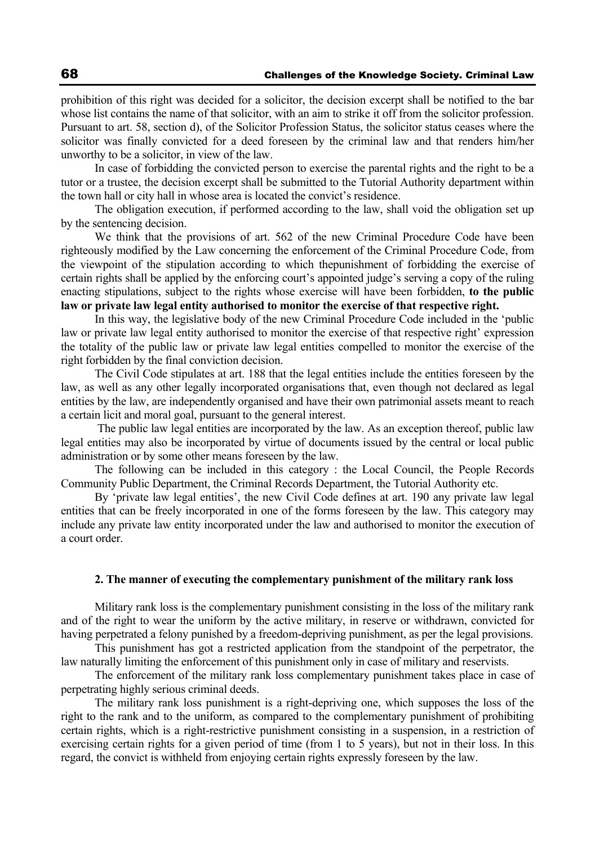prohibition of this right was decided for a solicitor, the decision excerpt shall be notified to the bar whose list contains the name of that solicitor, with an aim to strike it off from the solicitor profession. Pursuant to art. 58, section d), of the Solicitor Profession Status, the solicitor status ceases where the solicitor was finally convicted for a deed foreseen by the criminal law and that renders him/her unworthy to be a solicitor, in view of the law.

In case of forbidding the convicted person to exercise the parental rights and the right to be a tutor or a trustee, the decision excerpt shall be submitted to the Tutorial Authority department within the town hall or city hall in whose area is located the convict's residence.

The obligation execution, if performed according to the law, shall void the obligation set up by the sentencing decision.

We think that the provisions of art. 562 of the new Criminal Procedure Code have been righteously modified by the Law concerning the enforcement of the Criminal Procedure Code, from the viewpoint of the stipulation according to which thepunishment of forbidding the exercise of certain rights shall be applied by the enforcing court's appointed judge's serving a copy of the ruling enacting stipulations, subject to the rights whose exercise will have been forbidden, **to the public law or private law legal entity authorised to monitor the exercise of that respective right.** 

In this way, the legislative body of the new Criminal Procedure Code included in the 'public law or private law legal entity authorised to monitor the exercise of that respective right' expression the totality of the public law or private law legal entities compelled to monitor the exercise of the right forbidden by the final conviction decision.

The Civil Code stipulates at art. 188 that the legal entities include the entities foreseen by the law, as well as any other legally incorporated organisations that, even though not declared as legal entities by the law, are independently organised and have their own patrimonial assets meant to reach a certain licit and moral goal, pursuant to the general interest.

 The public law legal entities are incorporated by the law. As an exception thereof, public law legal entities may also be incorporated by virtue of documents issued by the central or local public administration or by some other means foreseen by the law.

The following can be included in this category : the Local Council, the People Records Community Public Department, the Criminal Records Department, the Tutorial Authority etc.

By 'private law legal entities', the new Civil Code defines at art. 190 any private law legal entities that can be freely incorporated in one of the forms foreseen by the law. This category may include any private law entity incorporated under the law and authorised to monitor the execution of a court order.

#### **2. The manner of executing the complementary punishment of the military rank loss**

Military rank loss is the complementary punishment consisting in the loss of the military rank and of the right to wear the uniform by the active military, in reserve or withdrawn, convicted for having perpetrated a felony punished by a freedom-depriving punishment, as per the legal provisions.

This punishment has got a restricted application from the standpoint of the perpetrator, the law naturally limiting the enforcement of this punishment only in case of military and reservists.

The enforcement of the military rank loss complementary punishment takes place in case of perpetrating highly serious criminal deeds.

The military rank loss punishment is a right-depriving one, which supposes the loss of the right to the rank and to the uniform, as compared to the complementary punishment of prohibiting certain rights, which is a right-restrictive punishment consisting in a suspension, in a restriction of exercising certain rights for a given period of time (from 1 to 5 years), but not in their loss. In this regard, the convict is withheld from enjoying certain rights expressly foreseen by the law.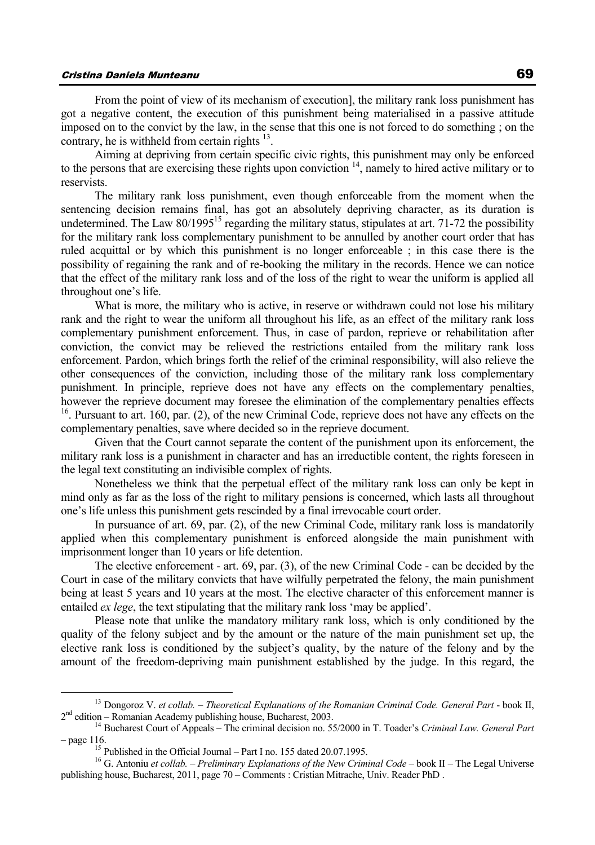# Cristina Daniela Munteanu 69

From the point of view of its mechanism of execution], the military rank loss punishment has got a negative content, the execution of this punishment being materialised in a passive attitude imposed on to the convict by the law, in the sense that this one is not forced to do something ; on the contrary, he is withheld from certain rights  $13$ .

Aiming at depriving from certain specific civic rights, this punishment may only be enforced to the persons that are exercising these rights upon conviction <sup>14</sup>, namely to hired active military or to reservists.

The military rank loss punishment, even though enforceable from the moment when the sentencing decision remains final, has got an absolutely depriving character, as its duration is undetermined. The Law 80/1995<sup>15</sup> regarding the military status, stipulates at art. 71-72 the possibility for the military rank loss complementary punishment to be annulled by another court order that has ruled acquittal or by which this punishment is no longer enforceable ; in this case there is the possibility of regaining the rank and of re-booking the military in the records. Hence we can notice that the effect of the military rank loss and of the loss of the right to wear the uniform is applied all throughout one's life.

What is more, the military who is active, in reserve or withdrawn could not lose his military rank and the right to wear the uniform all throughout his life, as an effect of the military rank loss complementary punishment enforcement. Thus, in case of pardon, reprieve or rehabilitation after conviction, the convict may be relieved the restrictions entailed from the military rank loss enforcement. Pardon, which brings forth the relief of the criminal responsibility, will also relieve the other consequences of the conviction, including those of the military rank loss complementary punishment. In principle, reprieve does not have any effects on the complementary penalties, however the reprieve document may foresee the elimination of the complementary penalties effects 16. Pursuant to art. 160, par. (2), of the new Criminal Code, reprieve does not have any effects on the complementary penalties, save where decided so in the reprieve document.

Given that the Court cannot separate the content of the punishment upon its enforcement, the military rank loss is a punishment in character and has an irreductible content, the rights foreseen in the legal text constituting an indivisible complex of rights.

Nonetheless we think that the perpetual effect of the military rank loss can only be kept in mind only as far as the loss of the right to military pensions is concerned, which lasts all throughout one's life unless this punishment gets rescinded by a final irrevocable court order.

In pursuance of art. 69, par. (2), of the new Criminal Code, military rank loss is mandatorily applied when this complementary punishment is enforced alongside the main punishment with imprisonment longer than 10 years or life detention.

The elective enforcement - art. 69, par. (3), of the new Criminal Code - can be decided by the Court in case of the military convicts that have wilfully perpetrated the felony, the main punishment being at least 5 years and 10 years at the most. The elective character of this enforcement manner is entailed *ex lege*, the text stipulating that the military rank loss 'may be applied'.

Please note that unlike the mandatory military rank loss, which is only conditioned by the quality of the felony subject and by the amount or the nature of the main punishment set up, the elective rank loss is conditioned by the subject's quality, by the nature of the felony and by the amount of the freedom-depriving main punishment established by the judge. In this regard, the

<sup>&</sup>lt;sup>13</sup> Dongoroz V. *et collab.* – *Theoretical Explanations of the Romanian Criminal Code. General Part* - book II,  $2<sup>nd</sup>$  edition – Romanian Academy publishing house, Bucharest, 2003.

<sup>&</sup>lt;sup>14</sup> Bucharest Court of Appeals – The criminal decision no. 55/2000 in T. Toader's *Criminal Law. General Part* – page 116. 15 Published in the Official Journal – Part I no. 155 dated 20.07.1995. 16 G. Antoniu *et collab.* – *Preliminary Explanations of the New Criminal Code* – book II – The Legal Universe

publishing house, Bucharest, 2011, page 70 – Comments : Cristian Mitrache, Univ. Reader PhD .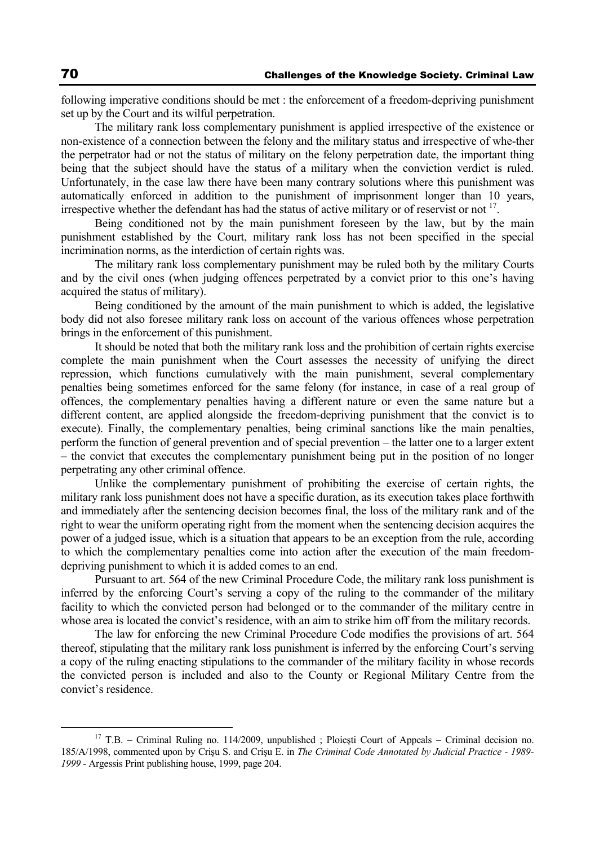following imperative conditions should be met : the enforcement of a freedom-depriving punishment set up by the Court and its wilful perpetration.

The military rank loss complementary punishment is applied irrespective of the existence or non-existence of a connection between the felony and the military status and irrespective of whe-ther the perpetrator had or not the status of military on the felony perpetration date, the important thing being that the subject should have the status of a military when the conviction verdict is ruled. Unfortunately, in the case law there have been many contrary solutions where this punishment was automatically enforced in addition to the punishment of imprisonment longer than 10 years, irrespective whether the defendant has had the status of active military or of reservist or not  $17$ .

Being conditioned not by the main punishment foreseen by the law, but by the main punishment established by the Court, military rank loss has not been specified in the special incrimination norms, as the interdiction of certain rights was.

The military rank loss complementary punishment may be ruled both by the military Courts and by the civil ones (when judging offences perpetrated by a convict prior to this one's having acquired the status of military).

Being conditioned by the amount of the main punishment to which is added, the legislative body did not also foresee military rank loss on account of the various offences whose perpetration brings in the enforcement of this punishment.

It should be noted that both the military rank loss and the prohibition of certain rights exercise complete the main punishment when the Court assesses the necessity of unifying the direct repression, which functions cumulatively with the main punishment, several complementary penalties being sometimes enforced for the same felony (for instance, in case of a real group of offences, the complementary penalties having a different nature or even the same nature but a different content, are applied alongside the freedom-depriving punishment that the convict is to execute). Finally, the complementary penalties, being criminal sanctions like the main penalties, perform the function of general prevention and of special prevention – the latter one to a larger extent – the convict that executes the complementary punishment being put in the position of no longer perpetrating any other criminal offence.

Unlike the complementary punishment of prohibiting the exercise of certain rights, the military rank loss punishment does not have a specific duration, as its execution takes place forthwith and immediately after the sentencing decision becomes final, the loss of the military rank and of the right to wear the uniform operating right from the moment when the sentencing decision acquires the power of a judged issue, which is a situation that appears to be an exception from the rule, according to which the complementary penalties come into action after the execution of the main freedomdepriving punishment to which it is added comes to an end.

Pursuant to art. 564 of the new Criminal Procedure Code, the military rank loss punishment is inferred by the enforcing Court's serving a copy of the ruling to the commander of the military facility to which the convicted person had belonged or to the commander of the military centre in whose area is located the convict's residence, with an aim to strike him off from the military records.

The law for enforcing the new Criminal Procedure Code modifies the provisions of art. 564 thereof, stipulating that the military rank loss punishment is inferred by the enforcing Court's serving a copy of the ruling enacting stipulations to the commander of the military facility in whose records the convicted person is included and also to the County or Regional Military Centre from the convict's residence.

<sup>&</sup>lt;sup>17</sup> T.B. – Criminal Ruling no. 114/2009, unpublished ; Ploiești Court of Appeals – Criminal decision no. 185/A/1998, commented upon by Crişu S. and Crişu E. in *The Criminal Code Annotated by Judicial Practice - 1989- 1999* - Argessis Print publishing house, 1999, page 204.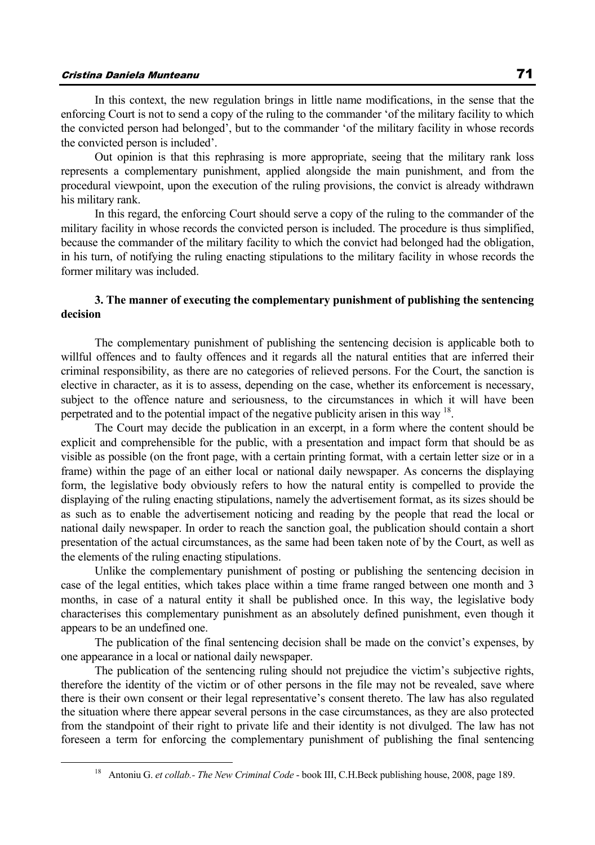In this context, the new regulation brings in little name modifications, in the sense that the enforcing Court is not to send a copy of the ruling to the commander 'of the military facility to which the convicted person had belonged', but to the commander 'of the military facility in whose records the convicted person is included'.

Out opinion is that this rephrasing is more appropriate, seeing that the military rank loss represents a complementary punishment, applied alongside the main punishment, and from the procedural viewpoint, upon the execution of the ruling provisions, the convict is already withdrawn his military rank.

In this regard, the enforcing Court should serve a copy of the ruling to the commander of the military facility in whose records the convicted person is included. The procedure is thus simplified, because the commander of the military facility to which the convict had belonged had the obligation, in his turn, of notifying the ruling enacting stipulations to the military facility in whose records the former military was included.

# **3. The manner of executing the complementary punishment of publishing the sentencing decision**

The complementary punishment of publishing the sentencing decision is applicable both to willful offences and to faulty offences and it regards all the natural entities that are inferred their criminal responsibility, as there are no categories of relieved persons. For the Court, the sanction is elective in character, as it is to assess, depending on the case, whether its enforcement is necessary, subject to the offence nature and seriousness, to the circumstances in which it will have been perpetrated and to the potential impact of the negative publicity arisen in this way 18.

The Court may decide the publication in an excerpt, in a form where the content should be explicit and comprehensible for the public, with a presentation and impact form that should be as visible as possible (on the front page, with a certain printing format, with a certain letter size or in a frame) within the page of an either local or national daily newspaper. As concerns the displaying form, the legislative body obviously refers to how the natural entity is compelled to provide the displaying of the ruling enacting stipulations, namely the advertisement format, as its sizes should be as such as to enable the advertisement noticing and reading by the people that read the local or national daily newspaper. In order to reach the sanction goal, the publication should contain a short presentation of the actual circumstances, as the same had been taken note of by the Court, as well as the elements of the ruling enacting stipulations.

Unlike the complementary punishment of posting or publishing the sentencing decision in case of the legal entities, which takes place within a time frame ranged between one month and 3 months, in case of a natural entity it shall be published once. In this way, the legislative body characterises this complementary punishment as an absolutely defined punishment, even though it appears to be an undefined one.

The publication of the final sentencing decision shall be made on the convict's expenses, by one appearance in a local or national daily newspaper.

The publication of the sentencing ruling should not prejudice the victim's subjective rights, therefore the identity of the victim or of other persons in the file may not be revealed, save where there is their own consent or their legal representative's consent thereto. The law has also regulated the situation where there appear several persons in the case circumstances, as they are also protected from the standpoint of their right to private life and their identity is not divulged. The law has not foreseen a term for enforcing the complementary punishment of publishing the final sentencing

 <sup>18</sup> Antoniu G. *et collab.- The New Criminal Code* - book III, C.H.Beck publishing house, 2008, page 189.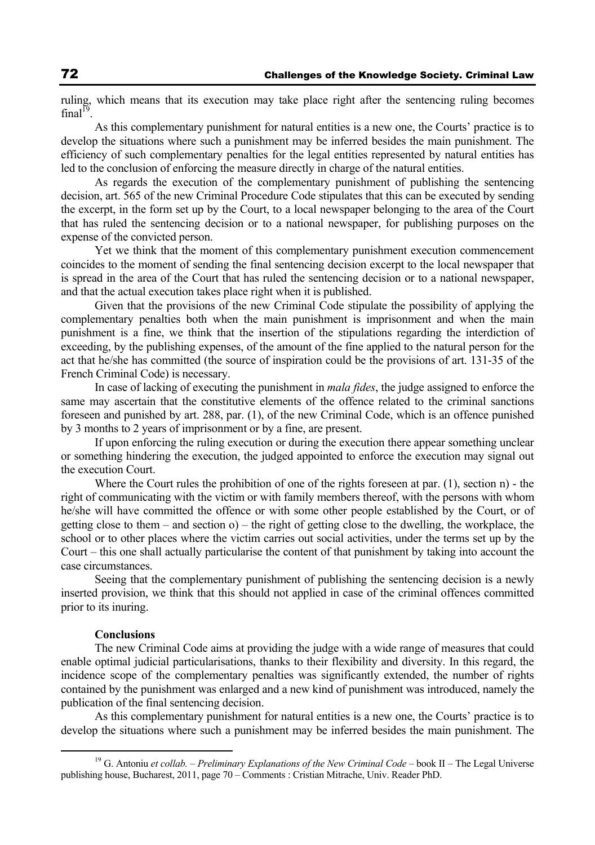ruling, which means that its execution may take place right after the sentencing ruling becomes  $final<sup>1</sup>$ 

As this complementary punishment for natural entities is a new one, the Courts' practice is to develop the situations where such a punishment may be inferred besides the main punishment. The efficiency of such complementary penalties for the legal entities represented by natural entities has led to the conclusion of enforcing the measure directly in charge of the natural entities.

As regards the execution of the complementary punishment of publishing the sentencing decision, art. 565 of the new Criminal Procedure Code stipulates that this can be executed by sending the excerpt, in the form set up by the Court, to a local newspaper belonging to the area of the Court that has ruled the sentencing decision or to a national newspaper, for publishing purposes on the expense of the convicted person.

Yet we think that the moment of this complementary punishment execution commencement coincides to the moment of sending the final sentencing decision excerpt to the local newspaper that is spread in the area of the Court that has ruled the sentencing decision or to a national newspaper, and that the actual execution takes place right when it is published.

Given that the provisions of the new Criminal Code stipulate the possibility of applying the complementary penalties both when the main punishment is imprisonment and when the main punishment is a fine, we think that the insertion of the stipulations regarding the interdiction of exceeding, by the publishing expenses, of the amount of the fine applied to the natural person for the act that he/she has committed (the source of inspiration could be the provisions of art. 131-35 of the French Criminal Code) is necessary.

In case of lacking of executing the punishment in *mala fides*, the judge assigned to enforce the same may ascertain that the constitutive elements of the offence related to the criminal sanctions foreseen and punished by art. 288, par. (1), of the new Criminal Code, which is an offence punished by 3 months to 2 years of imprisonment or by a fine, are present.

If upon enforcing the ruling execution or during the execution there appear something unclear or something hindering the execution, the judged appointed to enforce the execution may signal out the execution Court.

Where the Court rules the prohibition of one of the rights foreseen at par.  $(1)$ , section n) - the right of communicating with the victim or with family members thereof, with the persons with whom he/she will have committed the offence or with some other people established by the Court, or of getting close to them – and section  $o$ ) – the right of getting close to the dwelling, the workplace, the school or to other places where the victim carries out social activities, under the terms set up by the Court – this one shall actually particularise the content of that punishment by taking into account the case circumstances.

Seeing that the complementary punishment of publishing the sentencing decision is a newly inserted provision, we think that this should not applied in case of the criminal offences committed prior to its inuring.

### **Conclusions**

The new Criminal Code aims at providing the judge with a wide range of measures that could enable optimal judicial particularisations, thanks to their flexibility and diversity. In this regard, the incidence scope of the complementary penalties was significantly extended, the number of rights contained by the punishment was enlarged and a new kind of punishment was introduced, namely the publication of the final sentencing decision.

As this complementary punishment for natural entities is a new one, the Courts' practice is to develop the situations where such a punishment may be inferred besides the main punishment. The

 <sup>19</sup> G. Antoniu *et collab.* – *Preliminary Explanations of the New Criminal Code* – book II – The Legal Universe publishing house, Bucharest, 2011, page 70 – Comments : Cristian Mitrache, Univ. Reader PhD.